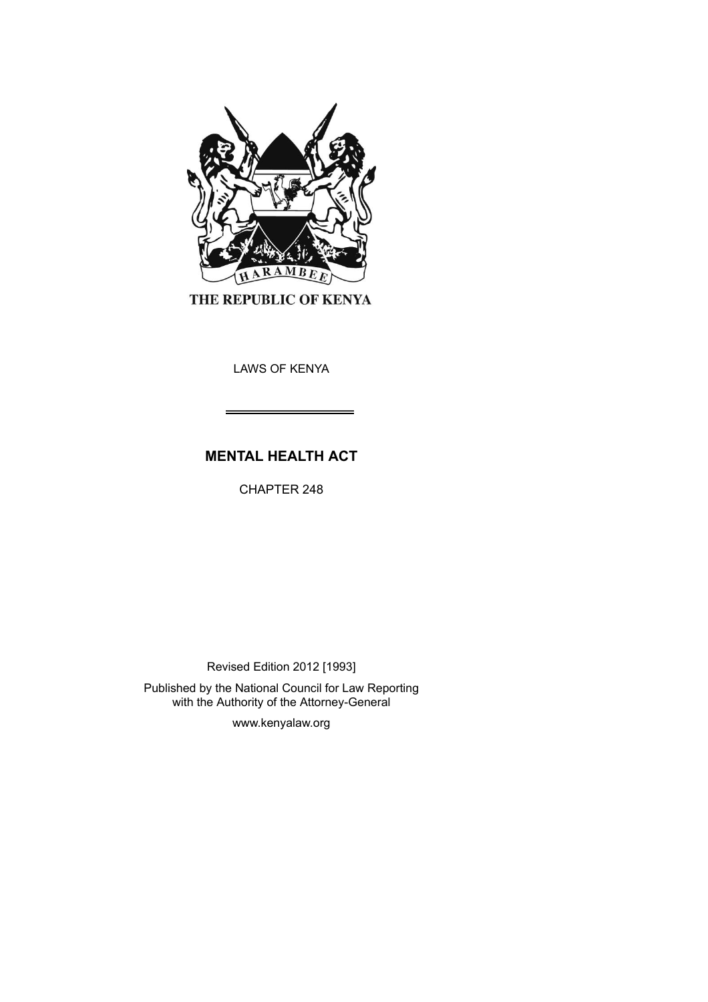

THE REPUBLIC OF KENYA

LAWS OF KENYA

# **MENTAL HEALTH ACT**

CHAPTER 248

Revised Edition 2012 [1993]

Published by the National Council for Law Reporting with the Authority of the Attorney-General

www.kenyalaw.org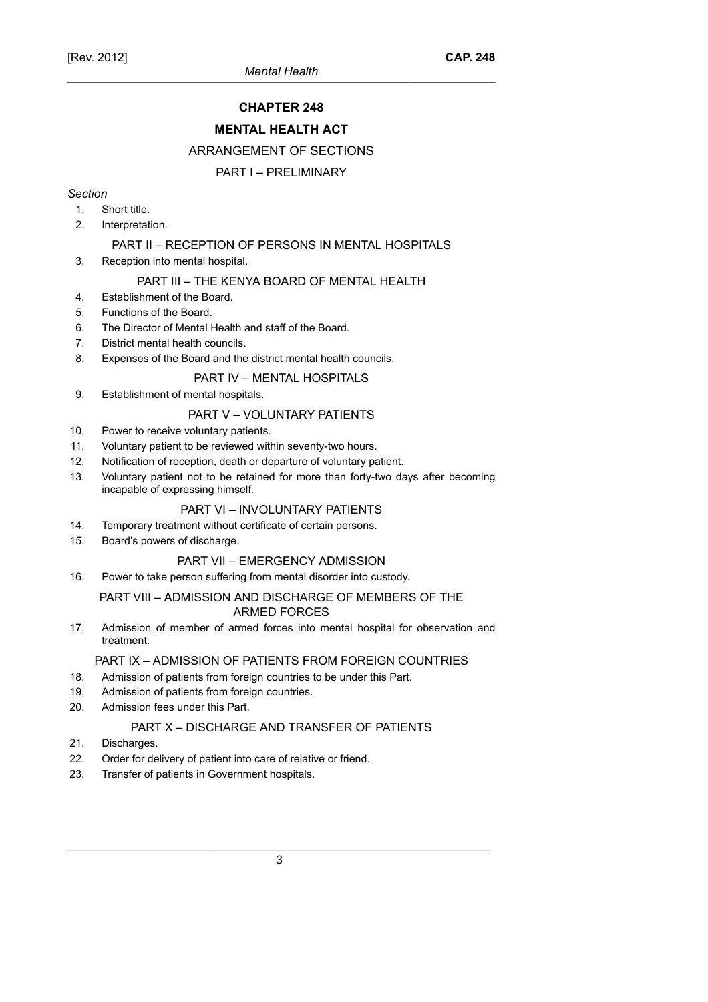# **CHAPTER 248**

# **MENTAL HEALTH ACT**

# ARRANGEMENT OF SECTIONS

# PART I – PRELIMINARY

#### *Section*

- 1. Short title.
- 2. Interpretation.

# PART II – RECEPTION OF PERSONS IN MENTAL HOSPITALS

3. Reception into mental hospital.

# PART III – THE KENYA BOARD OF MENTAL HEALTH

- 4. Establishment of the Board.
- 5. Functions of the Board.
- 6. The Director of Mental Health and staff of the Board.
- 7. District mental health councils.
- 8. Expenses of the Board and the district mental health councils.

### PART IV – MENTAL HOSPITALS

9. Establishment of mental hospitals.

# PART V – VOLUNTARY PATIENTS

- 10. Power to receive voluntary patients.
- 11. Voluntary patient to be reviewed within seventy-two hours.
- 12. Notification of reception, death or departure of voluntary patient.
- 13. Voluntary patient not to be retained for more than forty-two days after becoming incapable of expressing himself.

#### PART VI – INVOLUNTARY PATIENTS

- 14. Temporary treatment without certificate of certain persons.
- 15. Board's powers of discharge.

#### PART VII – EMERGENCY ADMISSION

16. Power to take person suffering from mental disorder into custody.

#### PART VIII – ADMISSION AND DISCHARGE OF MEMBERS OF THE ARMED FORCES

17. Admission of member of armed forces into mental hospital for observation and treatment.

#### PART IX – ADMISSION OF PATIENTS FROM FOREIGN COUNTRIES

- 18. Admission of patients from foreign countries to be under this Part.
- 19. Admission of patients from foreign countries.
- 20. Admission fees under this Part.

# PART X – DISCHARGE AND TRANSFER OF PATIENTS

- 21. Discharges.
- 22. Order for delivery of patient into care of relative or friend.
- 23. Transfer of patients in Government hospitals.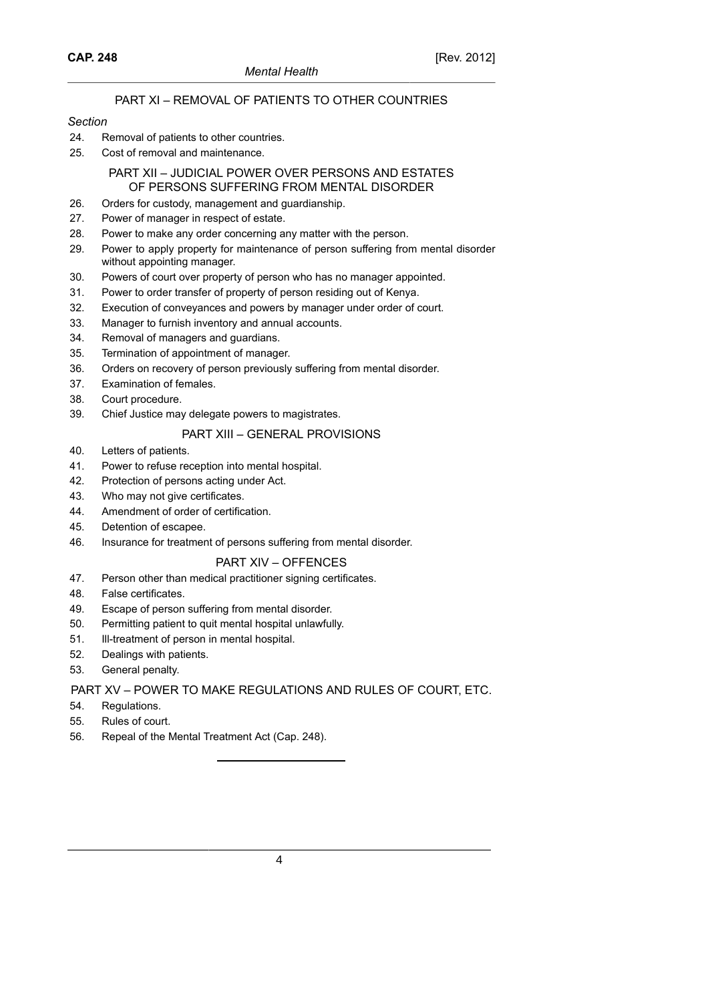# PART XI – REMOVAL OF PATIENTS TO OTHER COUNTRIES

#### *Section*

- 24. Removal of patients to other countries.
- 25. Cost of removal and maintenance.

# PART XII – JUDICIAL POWER OVER PERSONS AND ESTATES OF PERSONS SUFFERING FROM MENTAL DISORDER

- 26. Orders for custody, management and guardianship.
- 27. Power of manager in respect of estate.
- 28. Power to make any order concerning any matter with the person.
- 29. Power to apply property for maintenance of person suffering from mental disorder without appointing manager.
- 30. Powers of court over property of person who has no manager appointed.
- 31. Power to order transfer of property of person residing out of Kenya.
- 32. Execution of conveyances and powers by manager under order of court.
- 33. Manager to furnish inventory and annual accounts.
- 34. Removal of managers and guardians.
- 35. Termination of appointment of manager.
- 36. Orders on recovery of person previously suffering from mental disorder.
- 37. Examination of females.
- 38. Court procedure.
- 39. Chief Justice may delegate powers to magistrates.

### PART XIII – GENERAL PROVISIONS

- 40. Letters of patients.
- 41. Power to refuse reception into mental hospital.
- 42. Protection of persons acting under Act.
- 43. Who may not give certificates.
- 44. Amendment of order of certification.
- 45. Detention of escapee.
- 46. Insurance for treatment of persons suffering from mental disorder.

### PART XIV – OFFENCES

- 47. Person other than medical practitioner signing certificates.
- 48. False certificates.
- 49. Escape of person suffering from mental disorder.
- 50. Permitting patient to quit mental hospital unlawfully.
- 51. Ill-treatment of person in mental hospital.
- 52. Dealings with patients.
- 53. General penalty.

# PART XV – POWER TO MAKE REGULATIONS AND RULES OF COURT, ETC.

- 54. Regulations.
- 55. Rules of court.
- 56. Repeal of the Mental Treatment Act (Cap. 248).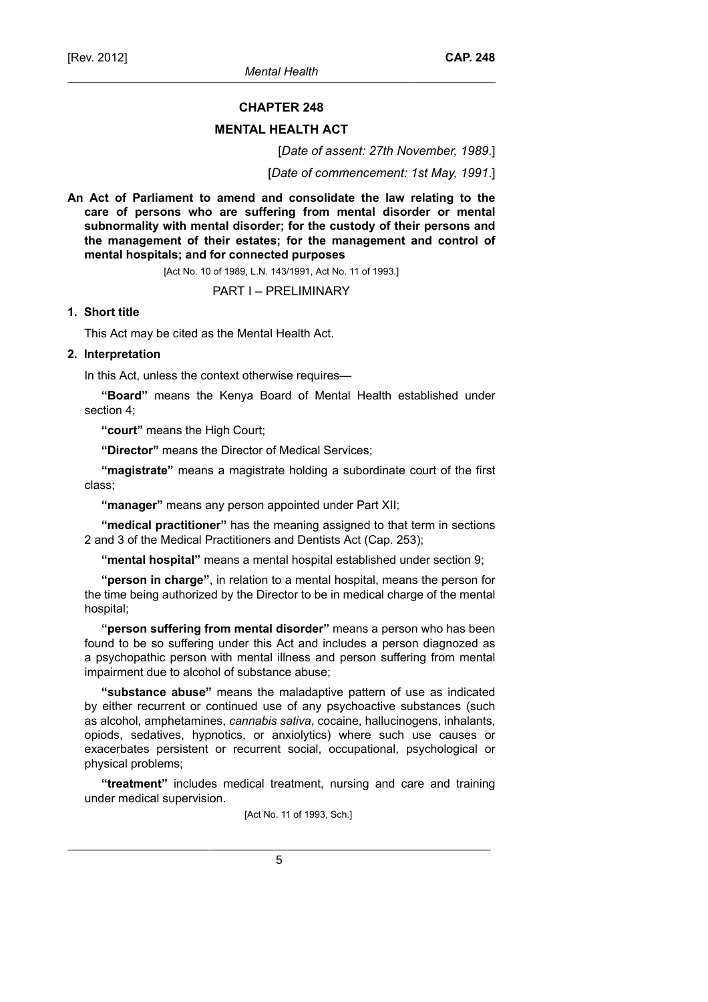#### **CHAPTER 248**

#### **MENTAL HEALTH ACT**

[*Date of assent: 27th November, 1989*.]

[*Date of commencement: 1st May, 1991*.]

**An Act of Parliament to amend and consolidate the law relating to the care of persons who are suffering from mental disorder or mental subnormality with mental disorder; for the custody of their persons and the management of their estates; for the management and control of mental hospitals; and for connected purposes**

[Act No. 10 of 1989, L.N. 143/1991, Act No. 11 of 1993.]

PART I – PRELIMINARY

# **1. Short title**

This Act may be cited as the Mental Health Act.

# **2. Interpretation**

In this Act, unless the context otherwise requires—

**"Board"** means the Kenya Board of Mental Health established under section 4;

**"court"** means the High Court;

**"Director"** means the Director of Medical Services;

**"magistrate"** means a magistrate holding a subordinate court of the first class;

**"manager"** means any person appointed under Part XII;

**"medical practitioner"** has the meaning assigned to that term in sections 2 and 3 of the Medical Practitioners and Dentists Act (Cap. 253);

**"mental hospital"** means a mental hospital established under section 9;

**"person in charge"**, in relation to a mental hospital, means the person for the time being authorized by the Director to be in medical charge of the mental hospital;

**"person suffering from mental disorder"** means a person who has been found to be so suffering under this Act and includes a person diagnozed as a psychopathic person with mental illness and person suffering from mental impairment due to alcohol of substance abuse;

**"substance abuse"** means the maladaptive pattern of use as indicated by either recurrent or continued use of any psychoactive substances (such as alcohol, amphetamines, *cannabis sativa*, cocaine, hallucinogens, inhalants, opiods, sedatives, hypnotics, or anxiolytics) where such use causes or exacerbates persistent or recurrent social, occupational, psychological or physical problems;

**"treatment"** includes medical treatment, nursing and care and training under medical supervision.

[Act No. 11 of 1993, Sch.]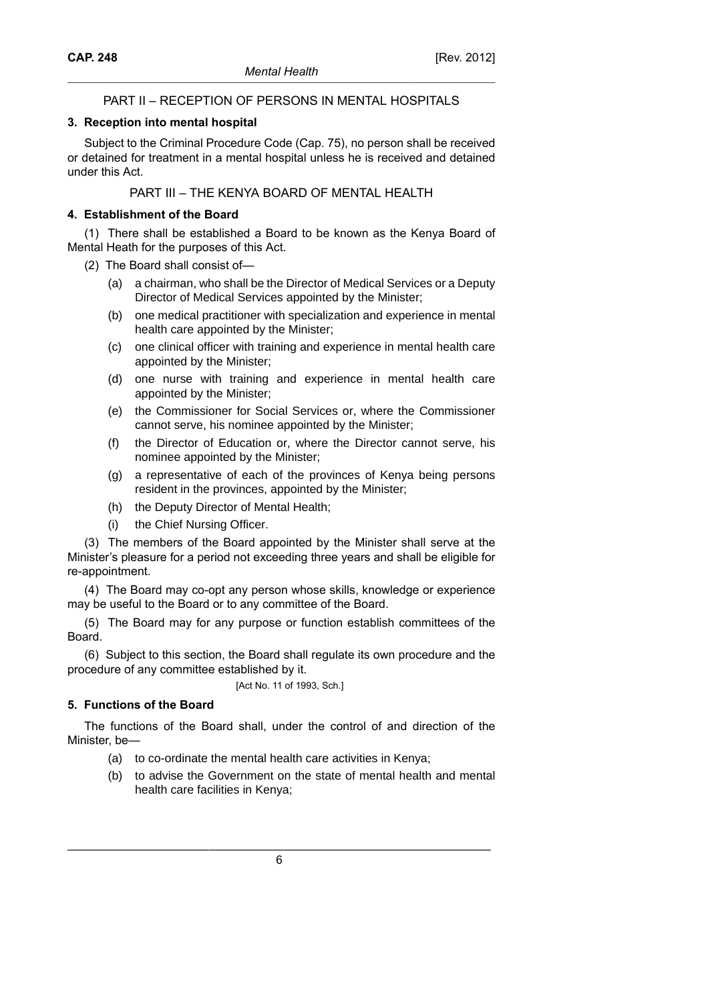# PART II – RECEPTION OF PERSONS IN MENTAL HOSPITALS

# **3. Reception into mental hospital**

Subject to the Criminal Procedure Code (Cap. 75), no person shall be received or detained for treatment in a mental hospital unless he is received and detained under this Act.

PART III – THE KENYA BOARD OF MENTAL HEALTH

# **4. Establishment of the Board**

(1) There shall be established a Board to be known as the Kenya Board of Mental Heath for the purposes of this Act.

- (2) The Board shall consist of—
	- (a) a chairman, who shall be the Director of Medical Services or a Deputy Director of Medical Services appointed by the Minister;
	- (b) one medical practitioner with specialization and experience in mental health care appointed by the Minister;
	- (c) one clinical officer with training and experience in mental health care appointed by the Minister;
	- (d) one nurse with training and experience in mental health care appointed by the Minister;
	- (e) the Commissioner for Social Services or, where the Commissioner cannot serve, his nominee appointed by the Minister;
	- (f) the Director of Education or, where the Director cannot serve, his nominee appointed by the Minister;
	- (g) a representative of each of the provinces of Kenya being persons resident in the provinces, appointed by the Minister;
	- (h) the Deputy Director of Mental Health;
	- the Chief Nursing Officer.

(3) The members of the Board appointed by the Minister shall serve at the Minister's pleasure for a period not exceeding three years and shall be eligible for re-appointment.

(4) The Board may co-opt any person whose skills, knowledge or experience may be useful to the Board or to any committee of the Board.

(5) The Board may for any purpose or function establish committees of the Board.

(6) Subject to this section, the Board shall regulate its own procedure and the procedure of any committee established by it.

[Act No. 11 of 1993, Sch.]

# **5. Functions of the Board**

The functions of the Board shall, under the control of and direction of the Minister, be—

- (a) to co-ordinate the mental health care activities in Kenya;
- (b) to advise the Government on the state of mental health and mental health care facilities in Kenya;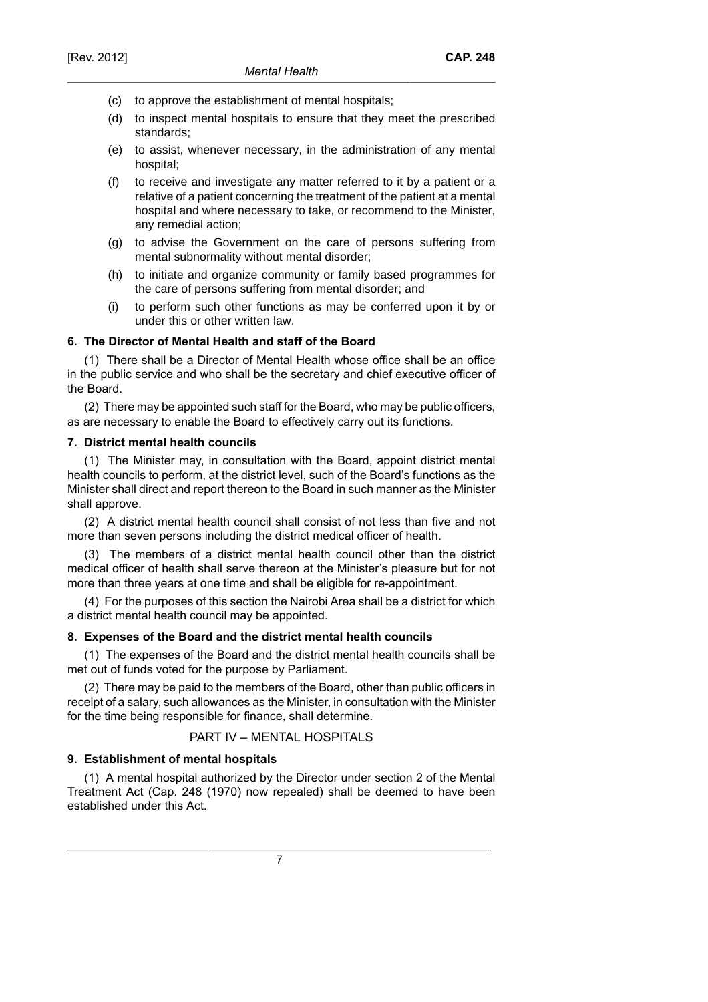- (c) to approve the establishment of mental hospitals;
- (d) to inspect mental hospitals to ensure that they meet the prescribed standards;
- (e) to assist, whenever necessary, in the administration of any mental hospital;
- (f) to receive and investigate any matter referred to it by a patient or a relative of a patient concerning the treatment of the patient at a mental hospital and where necessary to take, or recommend to the Minister, any remedial action;
- (g) to advise the Government on the care of persons suffering from mental subnormality without mental disorder;
- (h) to initiate and organize community or family based programmes for the care of persons suffering from mental disorder; and
- (i) to perform such other functions as may be conferred upon it by or under this or other written law.

# **6. The Director of Mental Health and staff of the Board**

(1) There shall be a Director of Mental Health whose office shall be an office in the public service and who shall be the secretary and chief executive officer of the Board.

(2) There may be appointed such staff for the Board, who may be public officers, as are necessary to enable the Board to effectively carry out its functions.

# **7. District mental health councils**

(1) The Minister may, in consultation with the Board, appoint district mental health councils to perform, at the district level, such of the Board's functions as the Minister shall direct and report thereon to the Board in such manner as the Minister shall approve.

(2) A district mental health council shall consist of not less than five and not more than seven persons including the district medical officer of health.

(3) The members of a district mental health council other than the district medical officer of health shall serve thereon at the Minister's pleasure but for not more than three years at one time and shall be eligible for re-appointment.

(4) For the purposes of this section the Nairobi Area shall be a district for which a district mental health council may be appointed.

# **8. Expenses of the Board and the district mental health councils**

(1) The expenses of the Board and the district mental health councils shall be met out of funds voted for the purpose by Parliament.

(2) There may be paid to the members of the Board, other than public officers in receipt of a salary, such allowances as the Minister, in consultation with the Minister for the time being responsible for finance, shall determine.

# PART IV – MENTAL HOSPITALS

# **9. Establishment of mental hospitals**

(1) A mental hospital authorized by the Director under section 2 of the Mental Treatment Act (Cap. 248 (1970) now repealed) shall be deemed to have been established under this Act.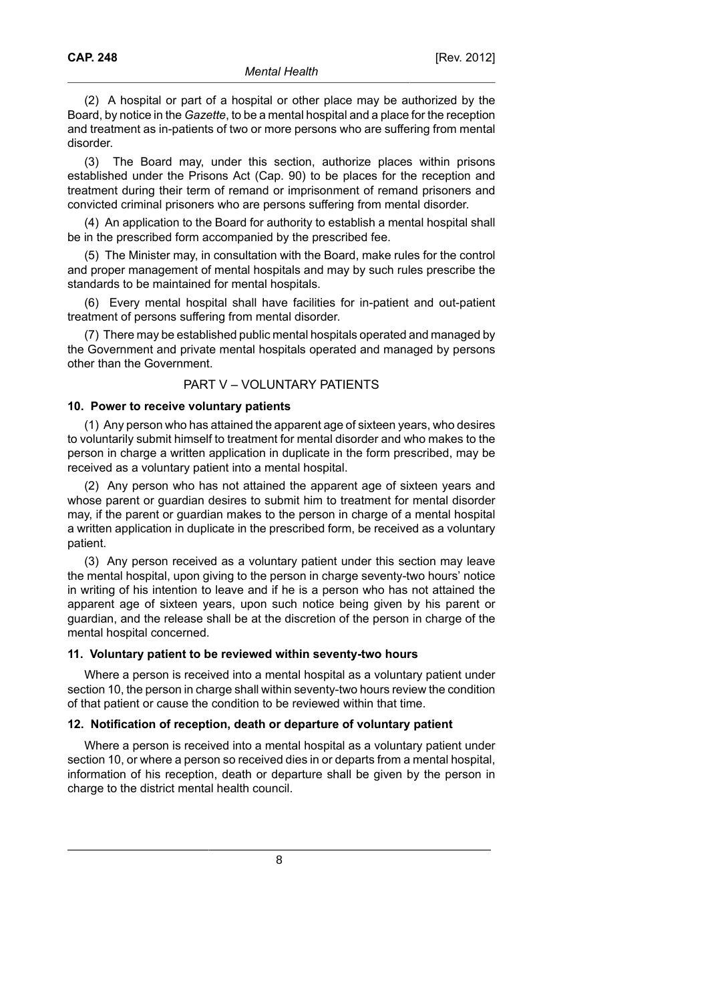(2) A hospital or part of a hospital or other place may be authorized by the Board, by notice in the *Gazette*, to be a mental hospital and a place for the reception and treatment as in-patients of two or more persons who are suffering from mental disorder.

(3) The Board may, under this section, authorize places within prisons established under the Prisons Act (Cap. 90) to be places for the reception and treatment during their term of remand or imprisonment of remand prisoners and convicted criminal prisoners who are persons suffering from mental disorder.

(4) An application to the Board for authority to establish a mental hospital shall be in the prescribed form accompanied by the prescribed fee.

(5) The Minister may, in consultation with the Board, make rules for the control and proper management of mental hospitals and may by such rules prescribe the standards to be maintained for mental hospitals.

(6) Every mental hospital shall have facilities for in-patient and out-patient treatment of persons suffering from mental disorder.

(7) There may be established public mental hospitals operated and managed by the Government and private mental hospitals operated and managed by persons other than the Government.

# PART V – VOLUNTARY PATIENTS

#### **10. Power to receive voluntary patients**

(1) Any person who has attained the apparent age of sixteen years, who desires to voluntarily submit himself to treatment for mental disorder and who makes to the person in charge a written application in duplicate in the form prescribed, may be received as a voluntary patient into a mental hospital.

(2) Any person who has not attained the apparent age of sixteen years and whose parent or guardian desires to submit him to treatment for mental disorder may, if the parent or guardian makes to the person in charge of a mental hospital a written application in duplicate in the prescribed form, be received as a voluntary patient.

(3) Any person received as a voluntary patient under this section may leave the mental hospital, upon giving to the person in charge seventy-two hours' notice in writing of his intention to leave and if he is a person who has not attained the apparent age of sixteen years, upon such notice being given by his parent or guardian, and the release shall be at the discretion of the person in charge of the mental hospital concerned.

#### **11. Voluntary patient to be reviewed within seventy-two hours**

Where a person is received into a mental hospital as a voluntary patient under section 10, the person in charge shall within seventy-two hours review the condition of that patient or cause the condition to be reviewed within that time.

### **12. Notification of reception, death or departure of voluntary patient**

Where a person is received into a mental hospital as a voluntary patient under section 10, or where a person so received dies in or departs from a mental hospital, information of his reception, death or departure shall be given by the person in charge to the district mental health council.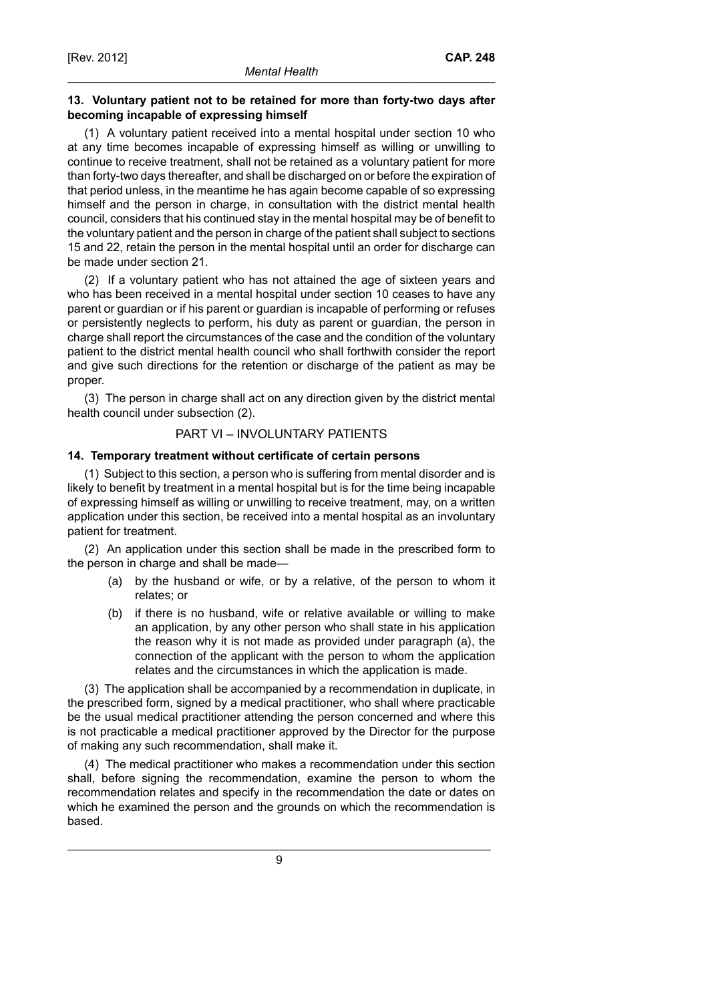# **13. Voluntary patient not to be retained for more than forty-two days after becoming incapable of expressing himself**

(1) A voluntary patient received into a mental hospital under section 10 who at any time becomes incapable of expressing himself as willing or unwilling to continue to receive treatment, shall not be retained as a voluntary patient for more than forty-two days thereafter, and shall be discharged on or before the expiration of that period unless, in the meantime he has again become capable of so expressing himself and the person in charge, in consultation with the district mental health council, considers that his continued stay in the mental hospital may be of benefit to the voluntary patient and the person in charge of the patient shall subject to sections 15 and 22, retain the person in the mental hospital until an order for discharge can be made under section 21.

(2) If a voluntary patient who has not attained the age of sixteen years and who has been received in a mental hospital under section 10 ceases to have any parent or guardian or if his parent or guardian is incapable of performing or refuses or persistently neglects to perform, his duty as parent or guardian, the person in charge shall report the circumstances of the case and the condition of the voluntary patient to the district mental health council who shall forthwith consider the report and give such directions for the retention or discharge of the patient as may be proper.

(3) The person in charge shall act on any direction given by the district mental health council under subsection (2).

### PART VI – INVOLUNTARY PATIENTS

#### **14. Temporary treatment without certificate of certain persons**

(1) Subject to this section, a person who is suffering from mental disorder and is likely to benefit by treatment in a mental hospital but is for the time being incapable of expressing himself as willing or unwilling to receive treatment, may, on a written application under this section, be received into a mental hospital as an involuntary patient for treatment.

(2) An application under this section shall be made in the prescribed form to the person in charge and shall be made—

- (a) by the husband or wife, or by a relative, of the person to whom it relates; or
- (b) if there is no husband, wife or relative available or willing to make an application, by any other person who shall state in his application the reason why it is not made as provided under paragraph (a), the connection of the applicant with the person to whom the application relates and the circumstances in which the application is made.

(3) The application shall be accompanied by a recommendation in duplicate, in the prescribed form, signed by a medical practitioner, who shall where practicable be the usual medical practitioner attending the person concerned and where this is not practicable a medical practitioner approved by the Director for the purpose of making any such recommendation, shall make it.

(4) The medical practitioner who makes a recommendation under this section shall, before signing the recommendation, examine the person to whom the recommendation relates and specify in the recommendation the date or dates on which he examined the person and the grounds on which the recommendation is based.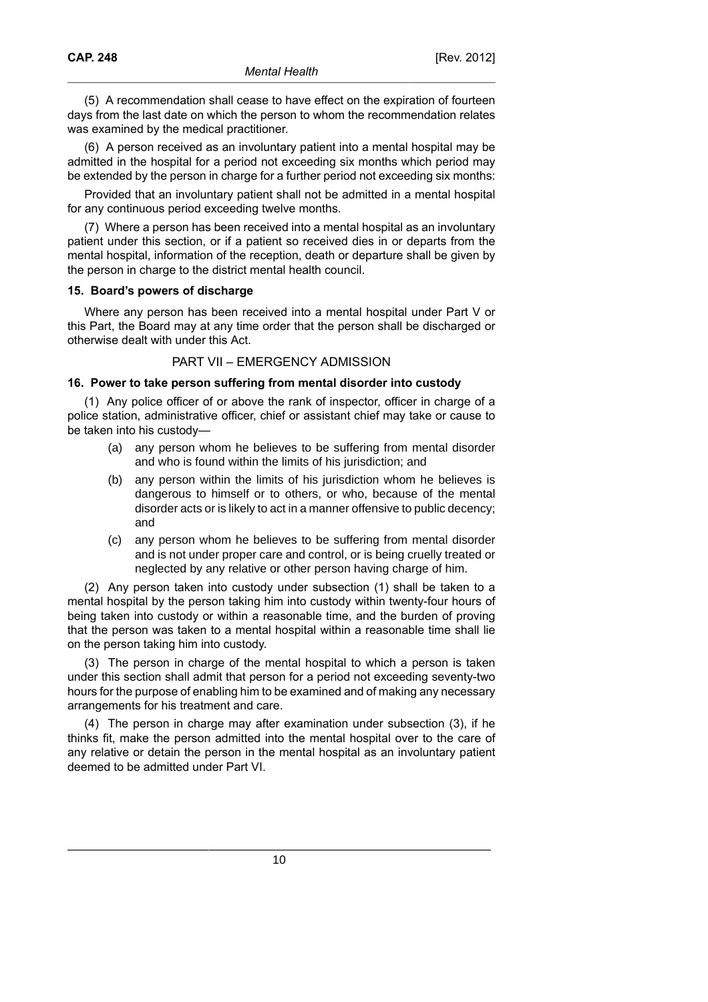(5) A recommendation shall cease to have effect on the expiration of fourteen days from the last date on which the person to whom the recommendation relates was examined by the medical practitioner.

(6) A person received as an involuntary patient into a mental hospital may be admitted in the hospital for a period not exceeding six months which period may be extended by the person in charge for a further period not exceeding six months:

Provided that an involuntary patient shall not be admitted in a mental hospital for any continuous period exceeding twelve months.

(7) Where a person has been received into a mental hospital as an involuntary patient under this section, or if a patient so received dies in or departs from the mental hospital, information of the reception, death or departure shall be given by the person in charge to the district mental health council.

#### **15. Board's powers of discharge**

Where any person has been received into a mental hospital under Part V or this Part, the Board may at any time order that the person shall be discharged or otherwise dealt with under this Act.

# PART VII – EMERGENCY ADMISSION

#### **16. Power to take person suffering from mental disorder into custody**

(1) Any police officer of or above the rank of inspector, officer in charge of a police station, administrative officer, chief or assistant chief may take or cause to be taken into his custody—

- (a) any person whom he believes to be suffering from mental disorder and who is found within the limits of his jurisdiction; and
- (b) any person within the limits of his jurisdiction whom he believes is dangerous to himself or to others, or who, because of the mental disorder acts or is likely to act in a manner offensive to public decency; and
- (c) any person whom he believes to be suffering from mental disorder and is not under proper care and control, or is being cruelly treated or neglected by any relative or other person having charge of him.

(2) Any person taken into custody under subsection (1) shall be taken to a mental hospital by the person taking him into custody within twenty-four hours of being taken into custody or within a reasonable time, and the burden of proving that the person was taken to a mental hospital within a reasonable time shall lie on the person taking him into custody.

(3) The person in charge of the mental hospital to which a person is taken under this section shall admit that person for a period not exceeding seventy-two hours for the purpose of enabling him to be examined and of making any necessary arrangements for his treatment and care.

(4) The person in charge may after examination under subsection (3), if he thinks fit, make the person admitted into the mental hospital over to the care of any relative or detain the person in the mental hospital as an involuntary patient deemed to be admitted under Part VI.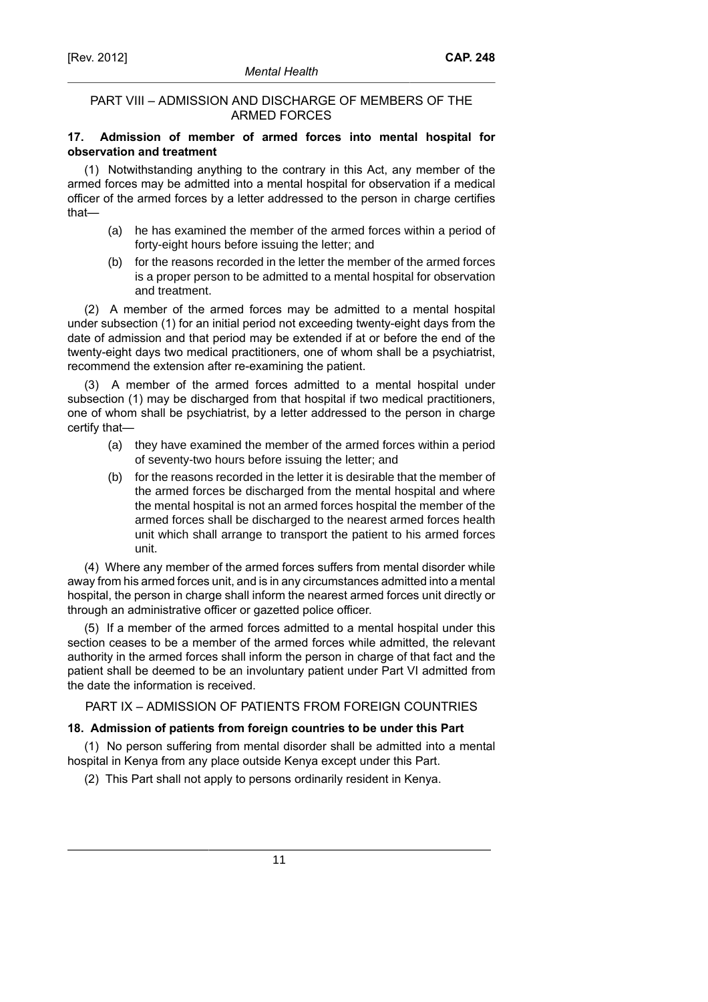# PART VIII – ADMISSION AND DISCHARGE OF MEMBERS OF THE ARMED FORCES

# **17. Admission of member of armed forces into mental hospital for observation and treatment**

(1) Notwithstanding anything to the contrary in this Act, any member of the armed forces may be admitted into a mental hospital for observation if a medical officer of the armed forces by a letter addressed to the person in charge certifies that—

- (a) he has examined the member of the armed forces within a period of forty-eight hours before issuing the letter; and
- (b) for the reasons recorded in the letter the member of the armed forces is a proper person to be admitted to a mental hospital for observation and treatment.

(2) A member of the armed forces may be admitted to a mental hospital under subsection (1) for an initial period not exceeding twenty-eight days from the date of admission and that period may be extended if at or before the end of the twenty-eight days two medical practitioners, one of whom shall be a psychiatrist, recommend the extension after re-examining the patient.

(3) A member of the armed forces admitted to a mental hospital under subsection (1) may be discharged from that hospital if two medical practitioners, one of whom shall be psychiatrist, by a letter addressed to the person in charge certify that—

- (a) they have examined the member of the armed forces within a period of seventy-two hours before issuing the letter; and
- (b) for the reasons recorded in the letter it is desirable that the member of the armed forces be discharged from the mental hospital and where the mental hospital is not an armed forces hospital the member of the armed forces shall be discharged to the nearest armed forces health unit which shall arrange to transport the patient to his armed forces unit.

(4) Where any member of the armed forces suffers from mental disorder while away from his armed forces unit, and is in any circumstances admitted into a mental hospital, the person in charge shall inform the nearest armed forces unit directly or through an administrative officer or gazetted police officer.

(5) If a member of the armed forces admitted to a mental hospital under this section ceases to be a member of the armed forces while admitted, the relevant authority in the armed forces shall inform the person in charge of that fact and the patient shall be deemed to be an involuntary patient under Part VI admitted from the date the information is received.

PART IX – ADMISSION OF PATIENTS FROM FOREIGN COUNTRIES

# **18. Admission of patients from foreign countries to be under this Part**

(1) No person suffering from mental disorder shall be admitted into a mental hospital in Kenya from any place outside Kenya except under this Part.

(2) This Part shall not apply to persons ordinarily resident in Kenya.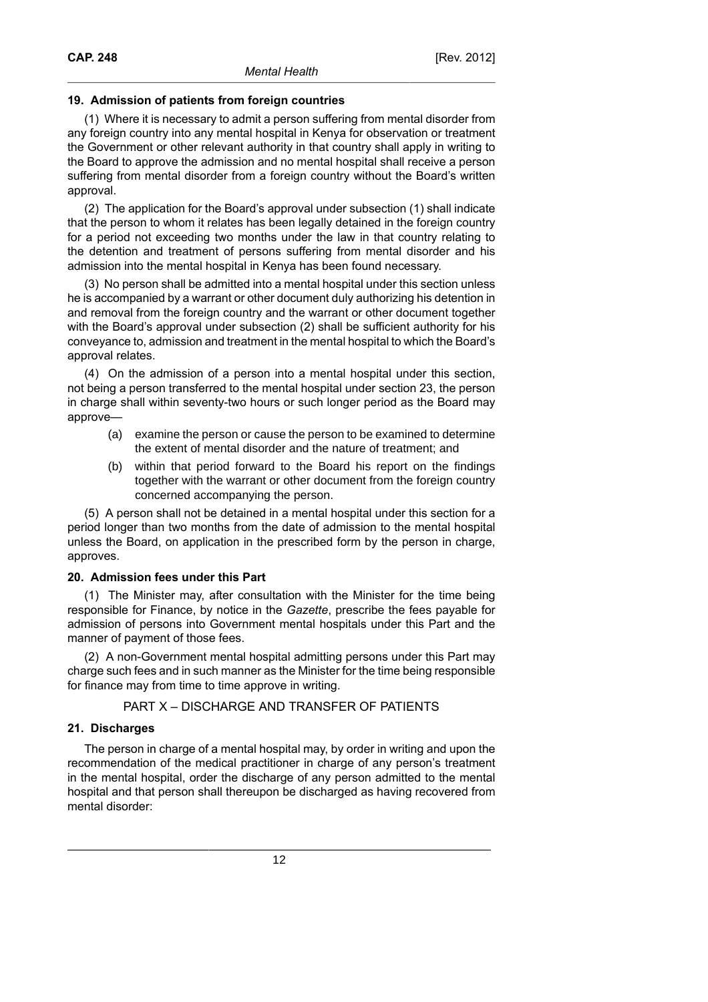# **19. Admission of patients from foreign countries**

(1) Where it is necessary to admit a person suffering from mental disorder from any foreign country into any mental hospital in Kenya for observation or treatment the Government or other relevant authority in that country shall apply in writing to the Board to approve the admission and no mental hospital shall receive a person suffering from mental disorder from a foreign country without the Board's written approval.

(2) The application for the Board's approval under subsection (1) shall indicate that the person to whom it relates has been legally detained in the foreign country for a period not exceeding two months under the law in that country relating to the detention and treatment of persons suffering from mental disorder and his admission into the mental hospital in Kenya has been found necessary.

(3) No person shall be admitted into a mental hospital under this section unless he is accompanied by a warrant or other document duly authorizing his detention in and removal from the foreign country and the warrant or other document together with the Board's approval under subsection (2) shall be sufficient authority for his conveyance to, admission and treatment in the mental hospital to which the Board's approval relates.

(4) On the admission of a person into a mental hospital under this section, not being a person transferred to the mental hospital under section 23, the person in charge shall within seventy-two hours or such longer period as the Board may approve—

- (a) examine the person or cause the person to be examined to determine the extent of mental disorder and the nature of treatment; and
- (b) within that period forward to the Board his report on the findings together with the warrant or other document from the foreign country concerned accompanying the person.

(5) A person shall not be detained in a mental hospital under this section for a period longer than two months from the date of admission to the mental hospital unless the Board, on application in the prescribed form by the person in charge, approves.

### **20. Admission fees under this Part**

(1) The Minister may, after consultation with the Minister for the time being responsible for Finance, by notice in the *Gazette*, prescribe the fees payable for admission of persons into Government mental hospitals under this Part and the manner of payment of those fees.

(2) A non-Government mental hospital admitting persons under this Part may charge such fees and in such manner as the Minister for the time being responsible for finance may from time to time approve in writing.

### PART X – DISCHARGE AND TRANSFER OF PATIENTS

### **21. Discharges**

The person in charge of a mental hospital may, by order in writing and upon the recommendation of the medical practitioner in charge of any person's treatment in the mental hospital, order the discharge of any person admitted to the mental hospital and that person shall thereupon be discharged as having recovered from mental disorder: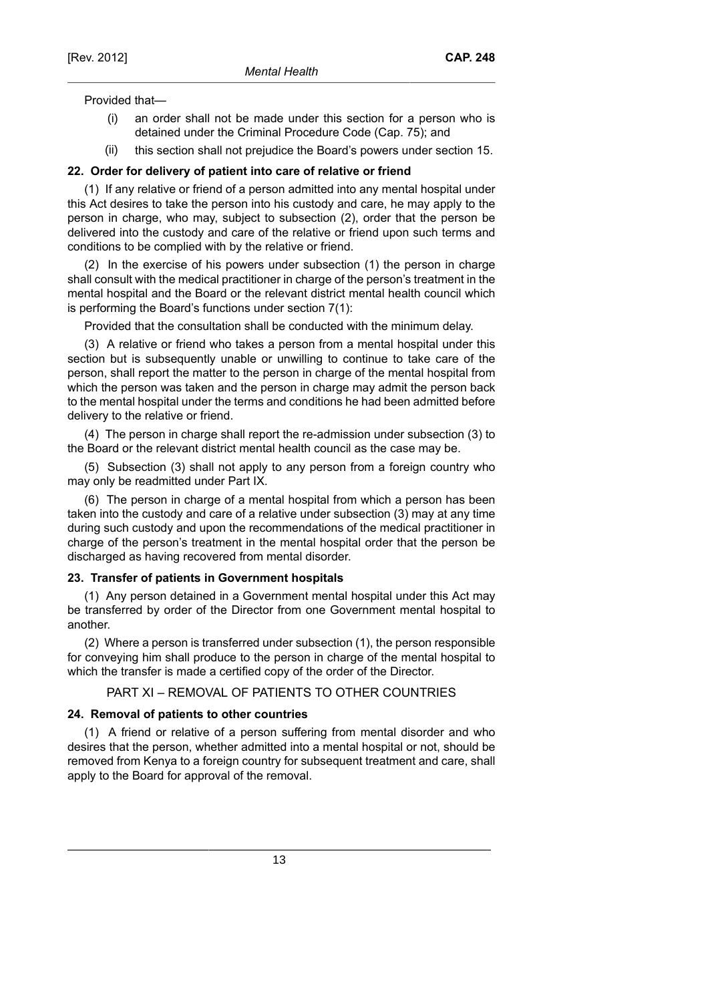Provided that—

- (i) an order shall not be made under this section for a person who is detained under the Criminal Procedure Code (Cap. 75); and
- (ii) this section shall not prejudice the Board's powers under section 15.

#### **22. Order for delivery of patient into care of relative or friend**

(1) If any relative or friend of a person admitted into any mental hospital under this Act desires to take the person into his custody and care, he may apply to the person in charge, who may, subject to subsection (2), order that the person be delivered into the custody and care of the relative or friend upon such terms and conditions to be complied with by the relative or friend.

(2) In the exercise of his powers under subsection (1) the person in charge shall consult with the medical practitioner in charge of the person's treatment in the mental hospital and the Board or the relevant district mental health council which is performing the Board's functions under section 7(1):

Provided that the consultation shall be conducted with the minimum delay.

(3) A relative or friend who takes a person from a mental hospital under this section but is subsequently unable or unwilling to continue to take care of the person, shall report the matter to the person in charge of the mental hospital from which the person was taken and the person in charge may admit the person back to the mental hospital under the terms and conditions he had been admitted before delivery to the relative or friend.

(4) The person in charge shall report the re-admission under subsection (3) to the Board or the relevant district mental health council as the case may be.

(5) Subsection (3) shall not apply to any person from a foreign country who may only be readmitted under Part IX.

(6) The person in charge of a mental hospital from which a person has been taken into the custody and care of a relative under subsection (3) may at any time during such custody and upon the recommendations of the medical practitioner in charge of the person's treatment in the mental hospital order that the person be discharged as having recovered from mental disorder.

#### **23. Transfer of patients in Government hospitals**

(1) Any person detained in a Government mental hospital under this Act may be transferred by order of the Director from one Government mental hospital to another.

(2) Where a person is transferred under subsection (1), the person responsible for conveying him shall produce to the person in charge of the mental hospital to which the transfer is made a certified copy of the order of the Director.

PART XI – REMOVAL OF PATIENTS TO OTHER COUNTRIES

#### **24. Removal of patients to other countries**

(1) A friend or relative of a person suffering from mental disorder and who desires that the person, whether admitted into a mental hospital or not, should be removed from Kenya to a foreign country for subsequent treatment and care, shall apply to the Board for approval of the removal.

13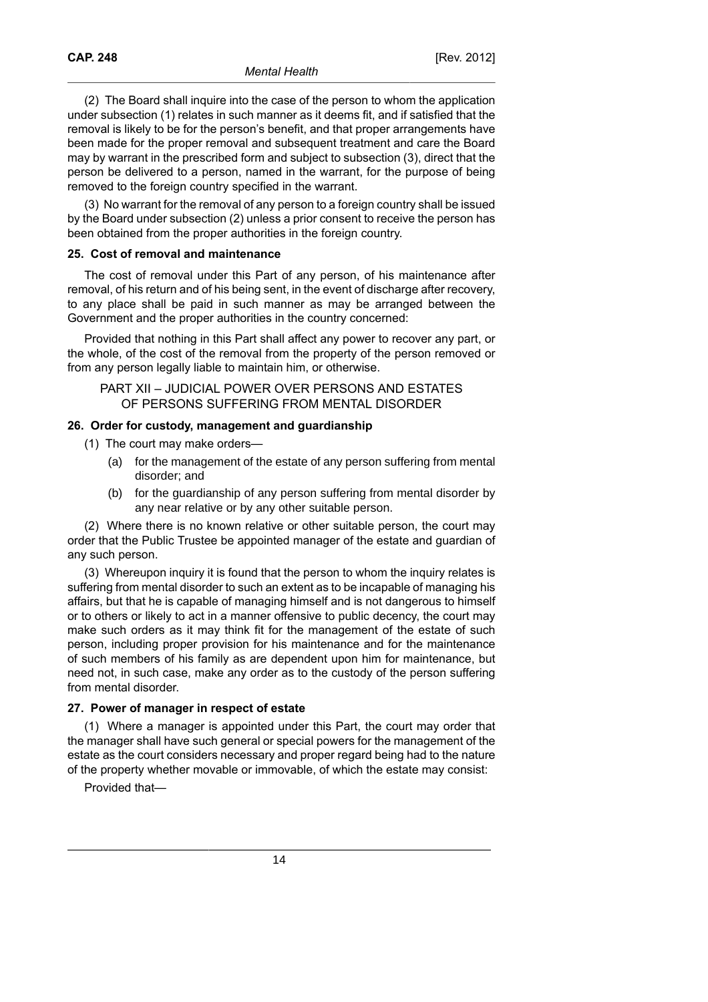(2) The Board shall inquire into the case of the person to whom the application under subsection (1) relates in such manner as it deems fit, and if satisfied that the removal is likely to be for the person's benefit, and that proper arrangements have been made for the proper removal and subsequent treatment and care the Board may by warrant in the prescribed form and subject to subsection (3), direct that the person be delivered to a person, named in the warrant, for the purpose of being removed to the foreign country specified in the warrant.

(3) No warrant for the removal of any person to a foreign country shall be issued by the Board under subsection (2) unless a prior consent to receive the person has been obtained from the proper authorities in the foreign country.

#### **25. Cost of removal and maintenance**

The cost of removal under this Part of any person, of his maintenance after removal, of his return and of his being sent, in the event of discharge after recovery, to any place shall be paid in such manner as may be arranged between the Government and the proper authorities in the country concerned:

Provided that nothing in this Part shall affect any power to recover any part, or the whole, of the cost of the removal from the property of the person removed or from any person legally liable to maintain him, or otherwise.

PART XII – JUDICIAL POWER OVER PERSONS AND ESTATES OF PERSONS SUFFERING FROM MENTAL DISORDER

### **26. Order for custody, management and guardianship**

- (1) The court may make orders—
	- (a) for the management of the estate of any person suffering from mental disorder; and
	- (b) for the guardianship of any person suffering from mental disorder by any near relative or by any other suitable person.

(2) Where there is no known relative or other suitable person, the court may order that the Public Trustee be appointed manager of the estate and guardian of any such person.

(3) Whereupon inquiry it is found that the person to whom the inquiry relates is suffering from mental disorder to such an extent as to be incapable of managing his affairs, but that he is capable of managing himself and is not dangerous to himself or to others or likely to act in a manner offensive to public decency, the court may make such orders as it may think fit for the management of the estate of such person, including proper provision for his maintenance and for the maintenance of such members of his family as are dependent upon him for maintenance, but need not, in such case, make any order as to the custody of the person suffering from mental disorder.

### **27. Power of manager in respect of estate**

(1) Where a manager is appointed under this Part, the court may order that the manager shall have such general or special powers for the management of the estate as the court considers necessary and proper regard being had to the nature of the property whether movable or immovable, of which the estate may consist:

Provided that—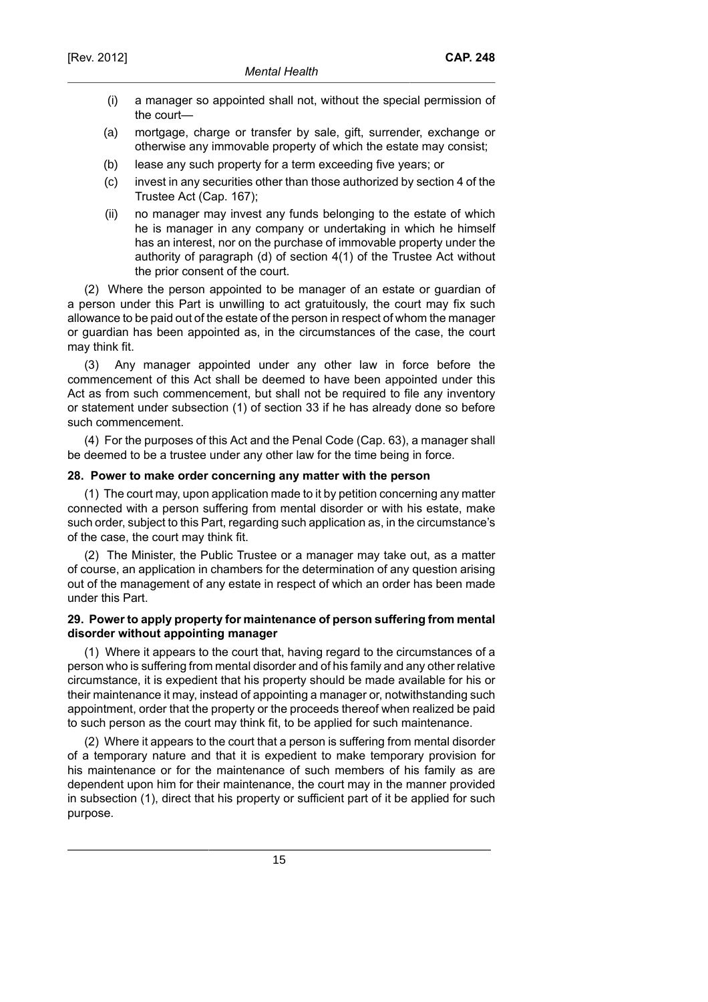- (i) a manager so appointed shall not, without the special permission of the court—
- (a) mortgage, charge or transfer by sale, gift, surrender, exchange or otherwise any immovable property of which the estate may consist;
- (b) lease any such property for a term exceeding five years; or
- (c) invest in any securities other than those authorized by section 4 of the Trustee Act (Cap. 167);
- (ii) no manager may invest any funds belonging to the estate of which he is manager in any company or undertaking in which he himself has an interest, nor on the purchase of immovable property under the authority of paragraph (d) of section 4(1) of the Trustee Act without the prior consent of the court.

(2) Where the person appointed to be manager of an estate or guardian of a person under this Part is unwilling to act gratuitously, the court may fix such allowance to be paid out of the estate of the person in respect of whom the manager or guardian has been appointed as, in the circumstances of the case, the court may think fit.

(3) Any manager appointed under any other law in force before the commencement of this Act shall be deemed to have been appointed under this Act as from such commencement, but shall not be required to file any inventory or statement under subsection (1) of section 33 if he has already done so before such commencement.

(4) For the purposes of this Act and the Penal Code (Cap. 63), a manager shall be deemed to be a trustee under any other law for the time being in force.

### **28. Power to make order concerning any matter with the person**

(1) The court may, upon application made to it by petition concerning any matter connected with a person suffering from mental disorder or with his estate, make such order, subject to this Part, regarding such application as, in the circumstance's of the case, the court may think fit.

(2) The Minister, the Public Trustee or a manager may take out, as a matter of course, an application in chambers for the determination of any question arising out of the management of any estate in respect of which an order has been made under this Part.

# **29. Power to apply property for maintenance of person suffering from mental disorder without appointing manager**

(1) Where it appears to the court that, having regard to the circumstances of a person who is suffering from mental disorder and of his family and any other relative circumstance, it is expedient that his property should be made available for his or their maintenance it may, instead of appointing a manager or, notwithstanding such appointment, order that the property or the proceeds thereof when realized be paid to such person as the court may think fit, to be applied for such maintenance.

(2) Where it appears to the court that a person is suffering from mental disorder of a temporary nature and that it is expedient to make temporary provision for his maintenance or for the maintenance of such members of his family as are dependent upon him for their maintenance, the court may in the manner provided in subsection (1), direct that his property or sufficient part of it be applied for such purpose.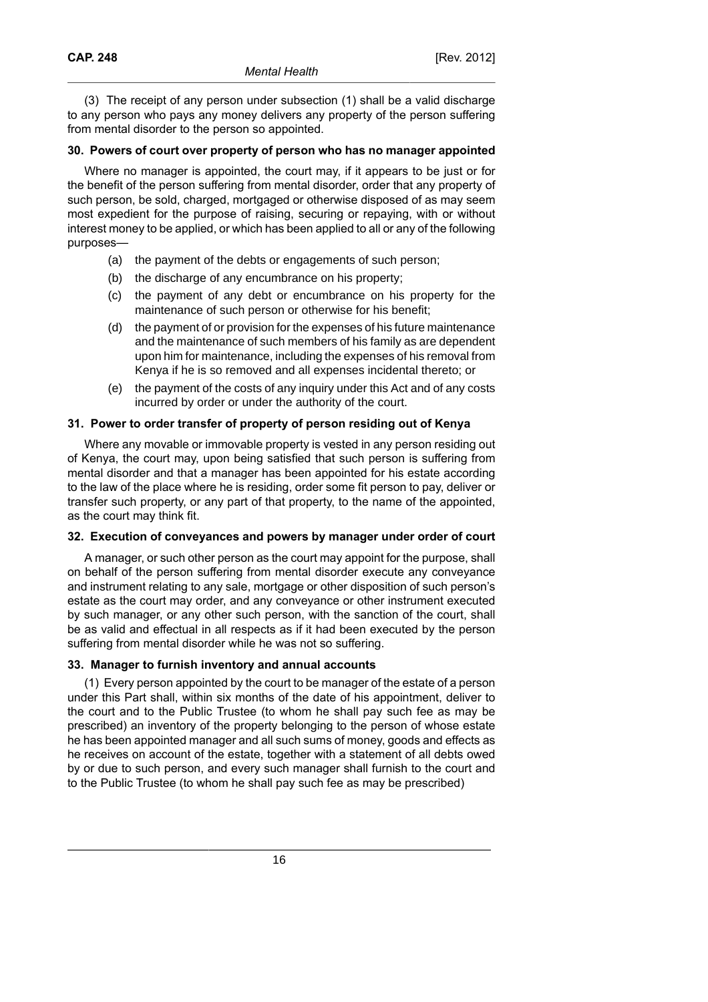(3) The receipt of any person under subsection (1) shall be a valid discharge to any person who pays any money delivers any property of the person suffering from mental disorder to the person so appointed.

# **30. Powers of court over property of person who has no manager appointed**

Where no manager is appointed, the court may, if it appears to be just or for the benefit of the person suffering from mental disorder, order that any property of such person, be sold, charged, mortgaged or otherwise disposed of as may seem most expedient for the purpose of raising, securing or repaying, with or without interest money to be applied, or which has been applied to all or any of the following purposes—

- (a) the payment of the debts or engagements of such person;
- (b) the discharge of any encumbrance on his property;
- (c) the payment of any debt or encumbrance on his property for the maintenance of such person or otherwise for his benefit;
- (d) the payment of or provision for the expenses of his future maintenance and the maintenance of such members of his family as are dependent upon him for maintenance, including the expenses of his removal from Kenya if he is so removed and all expenses incidental thereto; or
- (e) the payment of the costs of any inquiry under this Act and of any costs incurred by order or under the authority of the court.

# **31. Power to order transfer of property of person residing out of Kenya**

Where any movable or immovable property is vested in any person residing out of Kenya, the court may, upon being satisfied that such person is suffering from mental disorder and that a manager has been appointed for his estate according to the law of the place where he is residing, order some fit person to pay, deliver or transfer such property, or any part of that property, to the name of the appointed, as the court may think fit.

### **32. Execution of conveyances and powers by manager under order of court**

A manager, or such other person as the court may appoint for the purpose, shall on behalf of the person suffering from mental disorder execute any conveyance and instrument relating to any sale, mortgage or other disposition of such person's estate as the court may order, and any conveyance or other instrument executed by such manager, or any other such person, with the sanction of the court, shall be as valid and effectual in all respects as if it had been executed by the person suffering from mental disorder while he was not so suffering.

### **33. Manager to furnish inventory and annual accounts**

(1) Every person appointed by the court to be manager of the estate of a person under this Part shall, within six months of the date of his appointment, deliver to the court and to the Public Trustee (to whom he shall pay such fee as may be prescribed) an inventory of the property belonging to the person of whose estate he has been appointed manager and all such sums of money, goods and effects as he receives on account of the estate, together with a statement of all debts owed by or due to such person, and every such manager shall furnish to the court and to the Public Trustee (to whom he shall pay such fee as may be prescribed)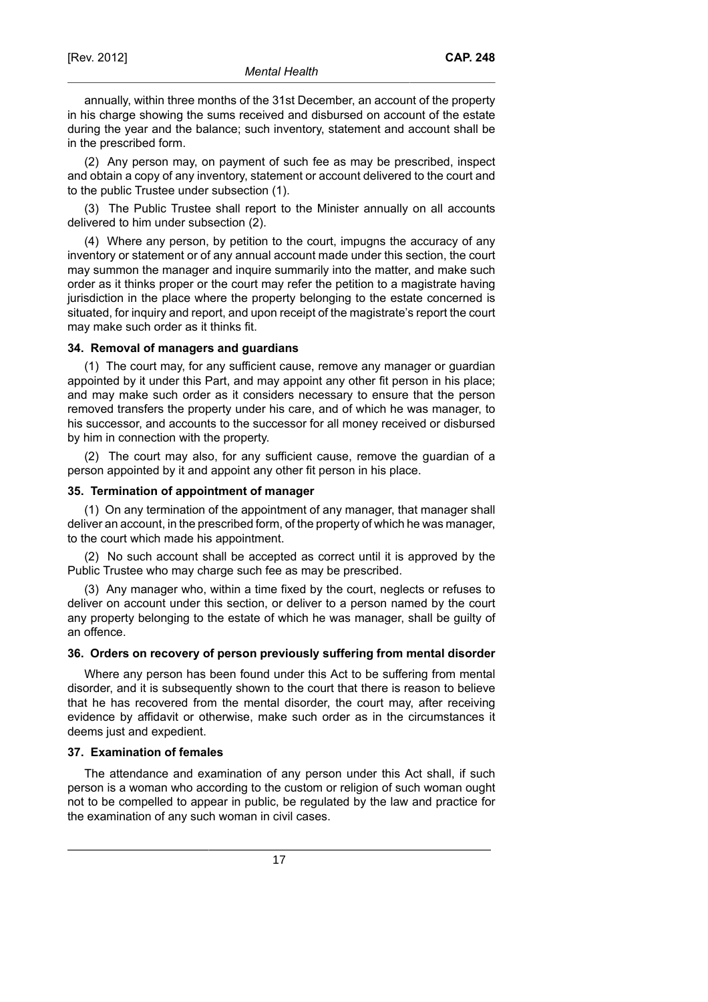annually, within three months of the 31st December, an account of the property in his charge showing the sums received and disbursed on account of the estate during the year and the balance; such inventory, statement and account shall be in the prescribed form.

(2) Any person may, on payment of such fee as may be prescribed, inspect and obtain a copy of any inventory, statement or account delivered to the court and to the public Trustee under subsection (1).

(3) The Public Trustee shall report to the Minister annually on all accounts delivered to him under subsection (2).

(4) Where any person, by petition to the court, impugns the accuracy of any inventory or statement or of any annual account made under this section, the court may summon the manager and inquire summarily into the matter, and make such order as it thinks proper or the court may refer the petition to a magistrate having jurisdiction in the place where the property belonging to the estate concerned is situated, for inquiry and report, and upon receipt of the magistrate's report the court may make such order as it thinks fit.

# **34. Removal of managers and guardians**

(1) The court may, for any sufficient cause, remove any manager or guardian appointed by it under this Part, and may appoint any other fit person in his place; and may make such order as it considers necessary to ensure that the person removed transfers the property under his care, and of which he was manager, to his successor, and accounts to the successor for all money received or disbursed by him in connection with the property.

(2) The court may also, for any sufficient cause, remove the guardian of a person appointed by it and appoint any other fit person in his place.

#### **35. Termination of appointment of manager**

(1) On any termination of the appointment of any manager, that manager shall deliver an account, in the prescribed form, of the property of which he was manager, to the court which made his appointment.

(2) No such account shall be accepted as correct until it is approved by the Public Trustee who may charge such fee as may be prescribed.

(3) Any manager who, within a time fixed by the court, neglects or refuses to deliver on account under this section, or deliver to a person named by the court any property belonging to the estate of which he was manager, shall be guilty of an offence.

### **36. Orders on recovery of person previously suffering from mental disorder**

Where any person has been found under this Act to be suffering from mental disorder, and it is subsequently shown to the court that there is reason to believe that he has recovered from the mental disorder, the court may, after receiving evidence by affidavit or otherwise, make such order as in the circumstances it deems just and expedient.

### **37. Examination of females**

The attendance and examination of any person under this Act shall, if such person is a woman who according to the custom or religion of such woman ought not to be compelled to appear in public, be regulated by the law and practice for the examination of any such woman in civil cases.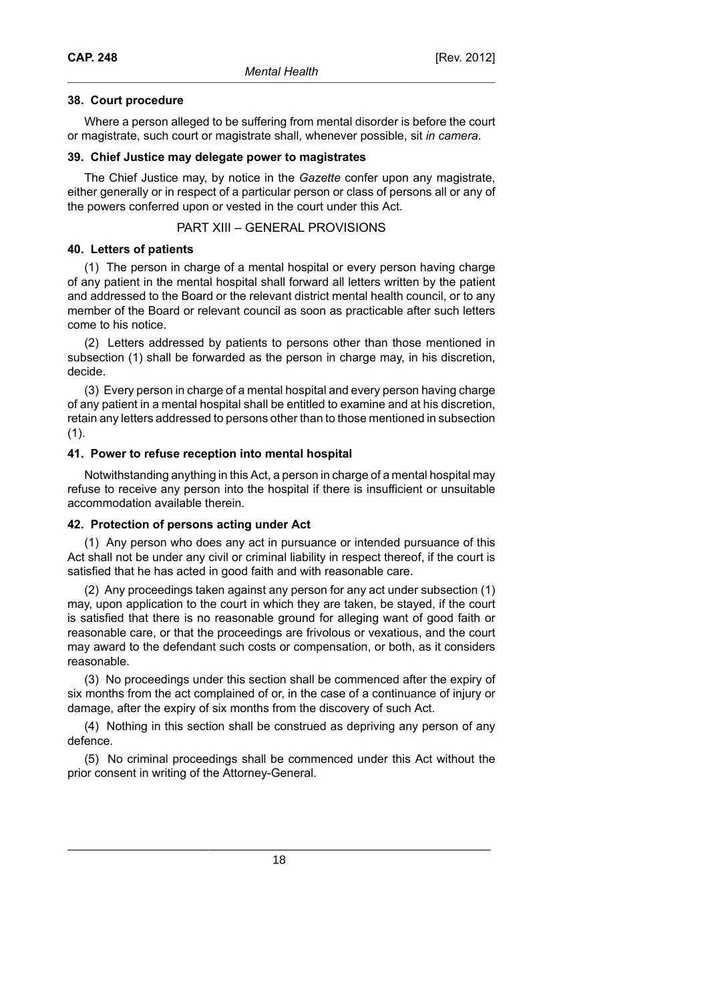# **38. Court procedure**

Where a person alleged to be suffering from mental disorder is before the court or magistrate, such court or magistrate shall, whenever possible, sit *in camera*.

### **39. Chief Justice may delegate power to magistrates**

The Chief Justice may, by notice in the *Gazette* confer upon any magistrate, either generally or in respect of a particular person or class of persons all or any of the powers conferred upon or vested in the court under this Act.

PART XIII – GENERAL PROVISIONS

# **40. Letters of patients**

(1) The person in charge of a mental hospital or every person having charge of any patient in the mental hospital shall forward all letters written by the patient and addressed to the Board or the relevant district mental health council, or to any member of the Board or relevant council as soon as practicable after such letters come to his notice.

(2) Letters addressed by patients to persons other than those mentioned in subsection (1) shall be forwarded as the person in charge may, in his discretion, decide.

(3) Every person in charge of a mental hospital and every person having charge of any patient in a mental hospital shall be entitled to examine and at his discretion, retain any letters addressed to persons other than to those mentioned in subsection (1).

# **41. Power to refuse reception into mental hospital**

Notwithstanding anything in this Act, a person in charge of a mental hospital may refuse to receive any person into the hospital if there is insufficient or unsuitable accommodation available therein.

# **42. Protection of persons acting under Act**

(1) Any person who does any act in pursuance or intended pursuance of this Act shall not be under any civil or criminal liability in respect thereof, if the court is satisfied that he has acted in good faith and with reasonable care.

(2) Any proceedings taken against any person for any act under subsection (1) may, upon application to the court in which they are taken, be stayed, if the court is satisfied that there is no reasonable ground for alleging want of good faith or reasonable care, or that the proceedings are frivolous or vexatious, and the court may award to the defendant such costs or compensation, or both, as it considers reasonable.

(3) No proceedings under this section shall be commenced after the expiry of six months from the act complained of or, in the case of a continuance of injury or damage, after the expiry of six months from the discovery of such Act.

(4) Nothing in this section shall be construed as depriving any person of any defence.

(5) No criminal proceedings shall be commenced under this Act without the prior consent in writing of the Attorney-General.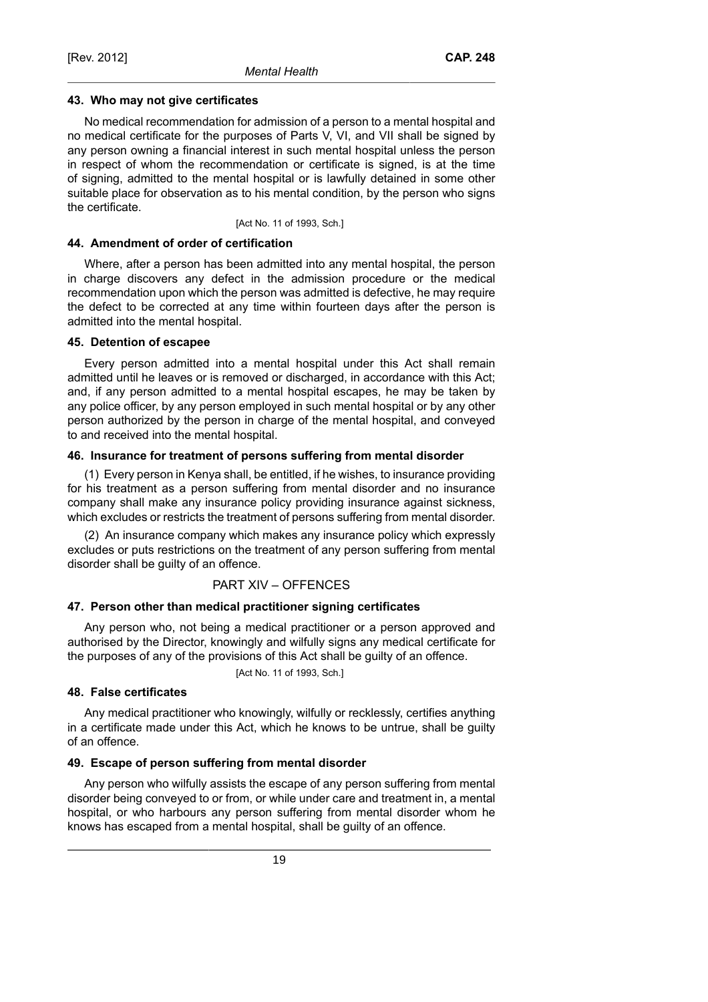#### **43. Who may not give certificates**

No medical recommendation for admission of a person to a mental hospital and no medical certificate for the purposes of Parts V, VI, and VII shall be signed by any person owning a financial interest in such mental hospital unless the person in respect of whom the recommendation or certificate is signed, is at the time of signing, admitted to the mental hospital or is lawfully detained in some other suitable place for observation as to his mental condition, by the person who signs the certificate.

[Act No. 11 of 1993, Sch.]

#### **44. Amendment of order of certification**

Where, after a person has been admitted into any mental hospital, the person in charge discovers any defect in the admission procedure or the medical recommendation upon which the person was admitted is defective, he may require the defect to be corrected at any time within fourteen days after the person is admitted into the mental hospital.

#### **45. Detention of escapee**

Every person admitted into a mental hospital under this Act shall remain admitted until he leaves or is removed or discharged, in accordance with this Act; and, if any person admitted to a mental hospital escapes, he may be taken by any police officer, by any person employed in such mental hospital or by any other person authorized by the person in charge of the mental hospital, and conveyed to and received into the mental hospital.

### **46. Insurance for treatment of persons suffering from mental disorder**

(1) Every person in Kenya shall, be entitled, if he wishes, to insurance providing for his treatment as a person suffering from mental disorder and no insurance company shall make any insurance policy providing insurance against sickness, which excludes or restricts the treatment of persons suffering from mental disorder.

(2) An insurance company which makes any insurance policy which expressly excludes or puts restrictions on the treatment of any person suffering from mental disorder shall be guilty of an offence.

### PART XIV – OFFENCES

### **47. Person other than medical practitioner signing certificates**

Any person who, not being a medical practitioner or a person approved and authorised by the Director, knowingly and wilfully signs any medical certificate for the purposes of any of the provisions of this Act shall be guilty of an offence.

[Act No. 11 of 1993, Sch.]

### **48. False certificates**

Any medical practitioner who knowingly, wilfully or recklessly, certifies anything in a certificate made under this Act, which he knows to be untrue, shall be guilty of an offence.

### **49. Escape of person suffering from mental disorder**

Any person who wilfully assists the escape of any person suffering from mental disorder being conveyed to or from, or while under care and treatment in, a mental hospital, or who harbours any person suffering from mental disorder whom he knows has escaped from a mental hospital, shall be guilty of an offence.